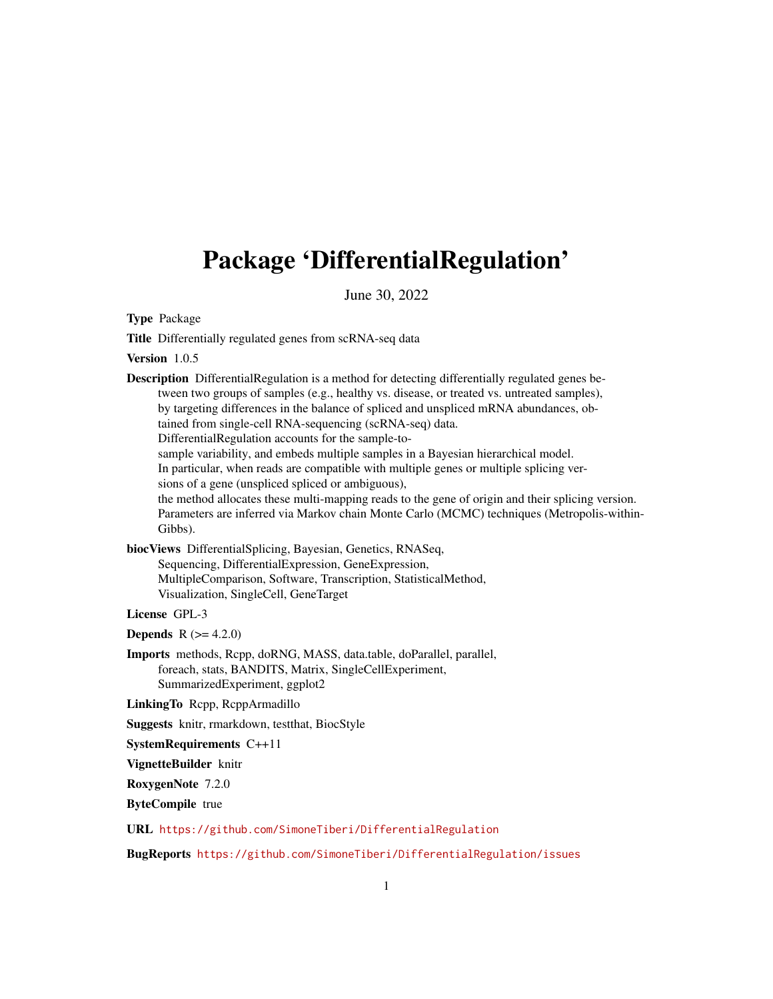# <span id="page-0-0"></span>Package 'DifferentialRegulation'

June 30, 2022

Type Package

Title Differentially regulated genes from scRNA-seq data

Version 1.0.5

Description DifferentialRegulation is a method for detecting differentially regulated genes between two groups of samples (e.g., healthy vs. disease, or treated vs. untreated samples), by targeting differences in the balance of spliced and unspliced mRNA abundances, obtained from single-cell RNA-sequencing (scRNA-seq) data. DifferentialRegulation accounts for the sample-tosample variability, and embeds multiple samples in a Bayesian hierarchical model. In particular, when reads are compatible with multiple genes or multiple splicing versions of a gene (unspliced spliced or ambiguous), the method allocates these multi-mapping reads to the gene of origin and their splicing version. Parameters are inferred via Markov chain Monte Carlo (MCMC) techniques (Metropolis-within-Gibbs).

biocViews DifferentialSplicing, Bayesian, Genetics, RNASeq, Sequencing, DifferentialExpression, GeneExpression, MultipleComparison, Software, Transcription, StatisticalMethod, Visualization, SingleCell, GeneTarget

License GPL-3

**Depends** R  $(>= 4.2.0)$ 

Imports methods, Rcpp, doRNG, MASS, data.table, doParallel, parallel, foreach, stats, BANDITS, Matrix, SingleCellExperiment, SummarizedExperiment, ggplot2

LinkingTo Rcpp, RcppArmadillo

Suggests knitr, rmarkdown, testthat, BiocStyle

SystemRequirements C++11

VignetteBuilder knitr

RoxygenNote 7.2.0

ByteCompile true

URL <https://github.com/SimoneTiberi/DifferentialRegulation>

BugReports <https://github.com/SimoneTiberi/DifferentialRegulation/issues>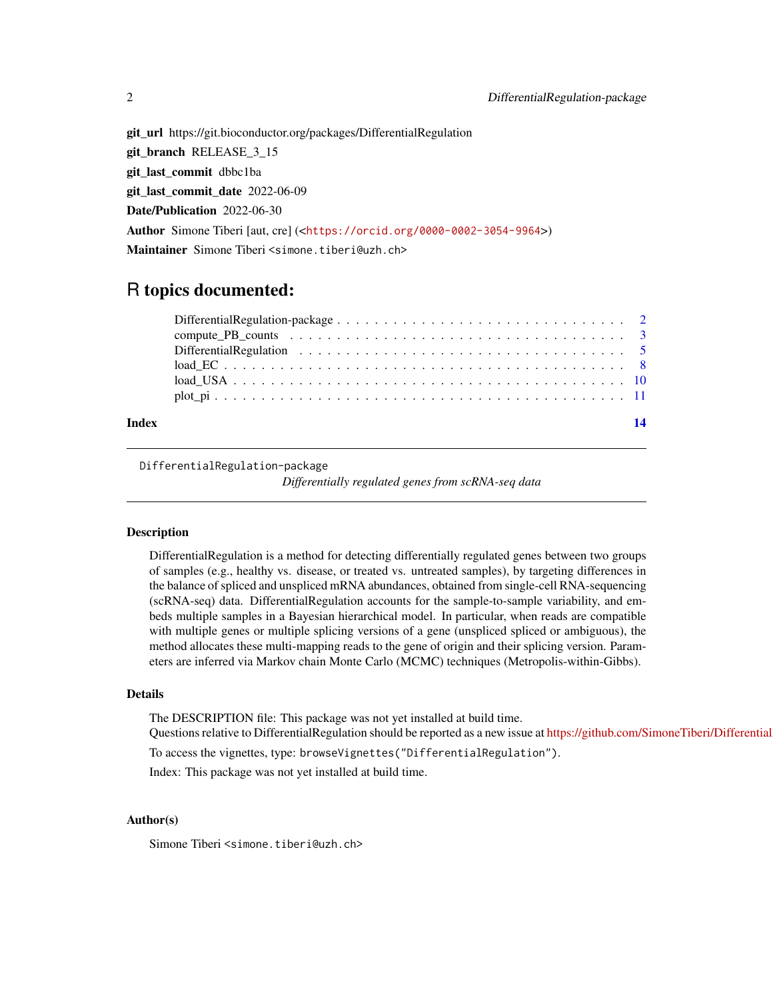git\_url https://git.bioconductor.org/packages/DifferentialRegulation git\_branch RELEASE\_3\_15 git\_last\_commit dbbc1ba git\_last\_commit\_date 2022-06-09 Date/Publication 2022-06-30 Author Simone Tiberi [aut, cre] (<<https://orcid.org/0000-0002-3054-9964>>) Maintainer Simone Tiberi <simone.tiberi@uzh.ch>

# R topics documented:

| 14 |
|----|
|    |
|    |
|    |
|    |
|    |
|    |
|    |

DifferentialRegulation-package

*Differentially regulated genes from scRNA-seq data*

# Description

DifferentialRegulation is a method for detecting differentially regulated genes between two groups of samples (e.g., healthy vs. disease, or treated vs. untreated samples), by targeting differences in the balance of spliced and unspliced mRNA abundances, obtained from single-cell RNA-sequencing (scRNA-seq) data. DifferentialRegulation accounts for the sample-to-sample variability, and embeds multiple samples in a Bayesian hierarchical model. In particular, when reads are compatible with multiple genes or multiple splicing versions of a gene (unspliced spliced or ambiguous), the method allocates these multi-mapping reads to the gene of origin and their splicing version. Parameters are inferred via Markov chain Monte Carlo (MCMC) techniques (Metropolis-within-Gibbs).

# Details

The DESCRIPTION file: This package was not yet installed at build time.

Questions relative to DifferentialRegulation should be reported as a new issue at https://github.com/SimoneTiberi/Differential

To access the vignettes, type: browseVignettes("DifferentialRegulation").

Index: This package was not yet installed at build time.

# Author(s)

Simone Tiberi <simone.tiberi@uzh.ch>

<span id="page-1-0"></span>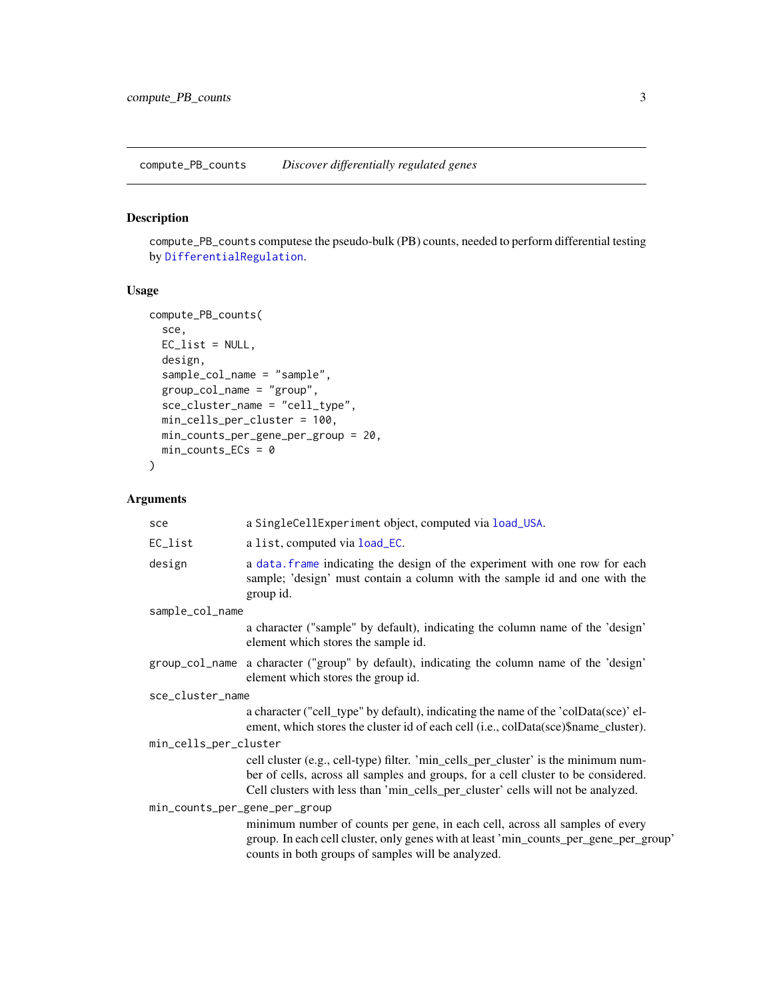<span id="page-2-1"></span><span id="page-2-0"></span>compute\_PB\_counts *Discover differentially regulated genes*

# Description

compute\_PB\_counts computese the pseudo-bulk (PB) counts, needed to perform differential testing by [DifferentialRegulation](#page-4-1).

# Usage

```
compute_PB_counts(
  sce,
 EC_list = NULL,
 design,
  sample_col_name = "sample",
 group_col_name = "group",
  sce_cluster_name = "cell_type",
 min_cells_per_cluster = 100,
 min_counts_per_gene_per_group = 20,
 min\_counts\_ECs = 0)
```
# Arguments

| sce                           | a SingleCellExperiment object, computed via load_USA.                                                                                                                                                                                                       |
|-------------------------------|-------------------------------------------------------------------------------------------------------------------------------------------------------------------------------------------------------------------------------------------------------------|
| EC_list                       | a list, computed via load_EC.                                                                                                                                                                                                                               |
| design                        | a data. frame indicating the design of the experiment with one row for each<br>sample; 'design' must contain a column with the sample id and one with the<br>group id.                                                                                      |
| sample_col_name               |                                                                                                                                                                                                                                                             |
|                               | a character ("sample" by default), indicating the column name of the 'design'<br>element which stores the sample id.                                                                                                                                        |
|                               | group_col_name a character ("group" by default), indicating the column name of the 'design'<br>element which stores the group id.                                                                                                                           |
| sce_cluster_name              |                                                                                                                                                                                                                                                             |
|                               | a character ("cell_type" by default), indicating the name of the 'colData(sce)' el-<br>ement, which stores the cluster id of each cell (i.e., colData(sce)\$name_cluster).                                                                                  |
| min_cells_per_cluster         |                                                                                                                                                                                                                                                             |
|                               | cell cluster (e.g., cell-type) filter. 'min_cells_per_cluster' is the minimum num-<br>ber of cells, across all samples and groups, for a cell cluster to be considered.<br>Cell clusters with less than 'min_cells_per_cluster' cells will not be analyzed. |
| min_counts_per_gene_per_group |                                                                                                                                                                                                                                                             |
|                               | minimum number of counts per gene, in each cell, across all samples of every<br>group. In each cell cluster, only genes with at least 'min_counts_per_gene_per_group'<br>counts in both groups of samples will be analyzed.                                 |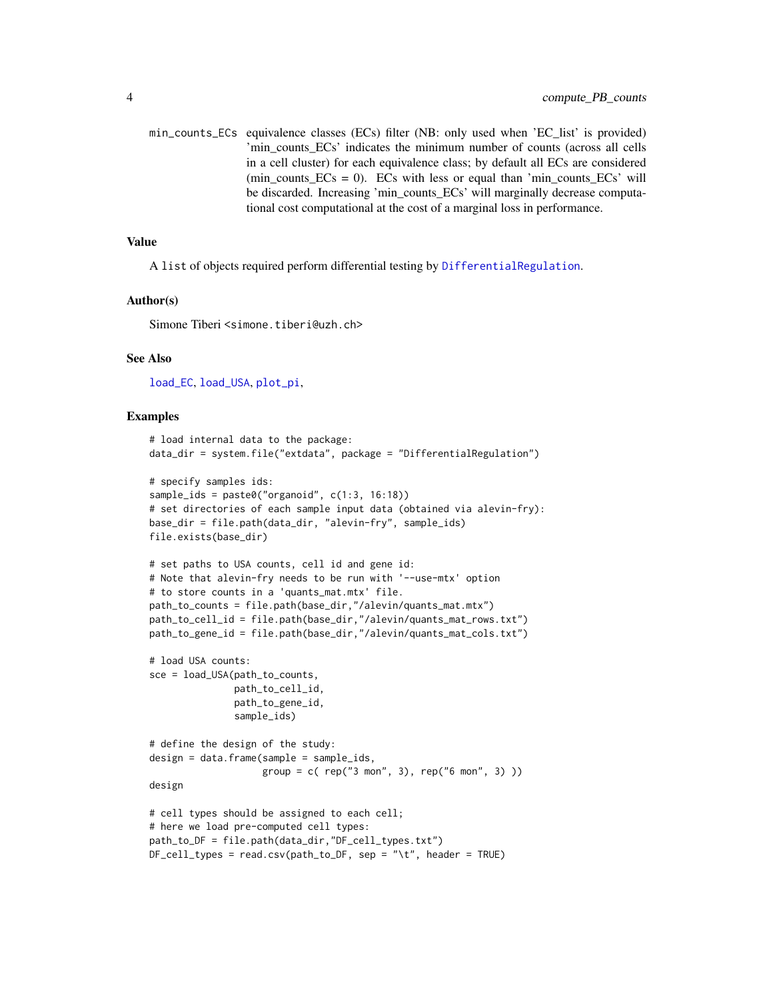<span id="page-3-0"></span>min\_counts\_ECs equivalence classes (ECs) filter (NB: only used when 'EC\_list' is provided) 'min counts ECs' indicates the minimum number of counts (across all cells in a cell cluster) for each equivalence class; by default all ECs are considered  $(\text{min\_counts\_ECs} = 0)$ . ECs with less or equal than 'min\_counts\_ECs' will be discarded. Increasing 'min\_counts\_ECs' will marginally decrease computational cost computational at the cost of a marginal loss in performance.

# Value

A list of objects required perform differential testing by [DifferentialRegulation](#page-4-1).

# Author(s)

Simone Tiberi <simone.tiberi@uzh.ch>

# See Also

[load\\_EC](#page-7-1), [load\\_USA](#page-9-1), [plot\\_pi](#page-10-1),

```
# load internal data to the package:
data_dir = system.file("extdata", package = "DifferentialRegulation")
# specify samples ids:
sample_ids = paste0("organoid", c(1:3, 16:18))
# set directories of each sample input data (obtained via alevin-fry):
base_dir = file.path(data_dir, "alevin-fry", sample_ids)
file.exists(base_dir)
# set paths to USA counts, cell id and gene id:
# Note that alevin-fry needs to be run with '--use-mtx' option
# to store counts in a 'quants_mat.mtx' file.
path_to_counts = file.path(base_dir,"/alevin/quants_mat.mtx")
path_to_cell_id = file.path(base_dir,"/alevin/quants_mat_rows.txt")
path_to_gene_id = file.path(base_dir,"/alevin/quants_mat_cols.txt")
# load USA counts:
sce = load_USA(path_to_counts,
               path_to_cell_id,
               path_to_gene_id,
               sample_ids)
# define the design of the study:
design = data.frame(sample = sample_ids,
                    group = c( rep("3 mon", 3), rep("6 mon", 3))design
# cell types should be assigned to each cell;
# here we load pre-computed cell types:
path_to_DF = file.path(data_dir,"DF_cell_types.txt")
DF_cell_types = read.csv(path_to_DF, sep = "\t", header = TRUE)
```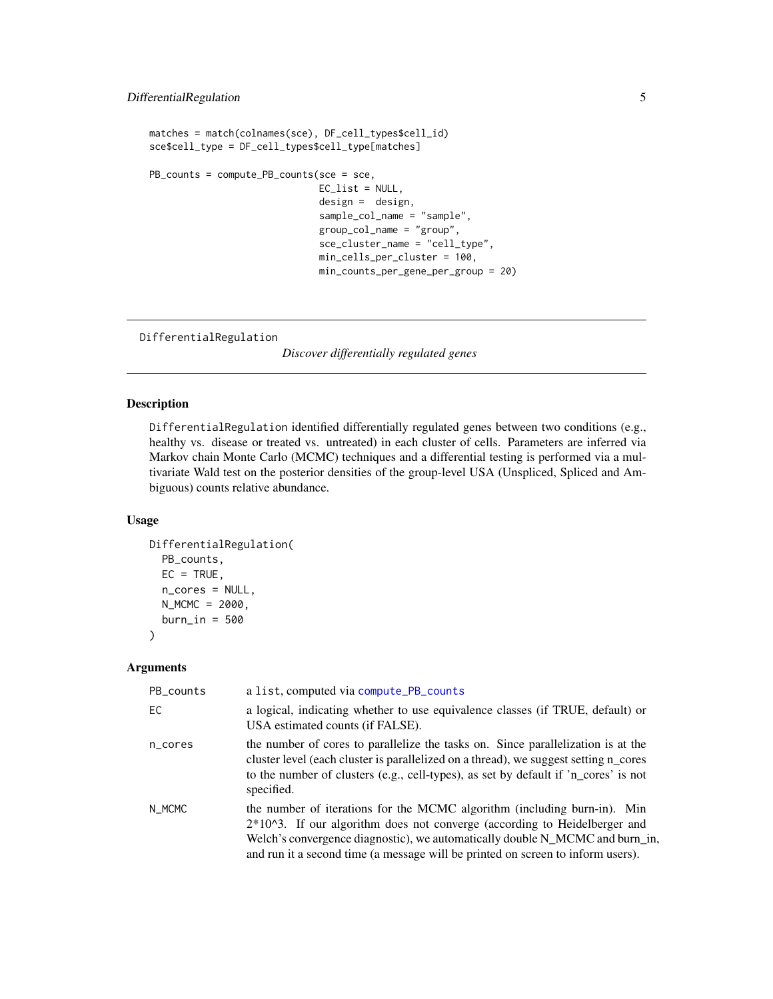```
matches = match(colnames(sce), DF_cell_types$cell_id)
sce$cell_type = DF_cell_types$cell_type[matches]
PB_counts = compute_PB_counts(sce = sce,
                              EC_list = NULL,
                              design = design,
                              sample_col_name = "sample",
                              group_col_name = "group",
                              sce_cluster_name = "cell_type",
                              min_cells_per_cluster = 100,
                              min_counts_per_gene_per_group = 20)
```

```
DifferentialRegulation
```
*Discover differentially regulated genes*

# Description

DifferentialRegulation identified differentially regulated genes between two conditions (e.g., healthy vs. disease or treated vs. untreated) in each cluster of cells. Parameters are inferred via Markov chain Monte Carlo (MCMC) techniques and a differential testing is performed via a multivariate Wald test on the posterior densities of the group-level USA (Unspliced, Spliced and Ambiguous) counts relative abundance.

# Usage

```
DifferentialRegulation(
 PB_counts,
 EC = TRUE,n_cores = NULL,
 N_MCMC = 2000,
 burn_in = 500)
```
# Arguments

| PB_counts | a list, computed via compute_PB_counts                                                                                                                                                                                                                                                                                     |
|-----------|----------------------------------------------------------------------------------------------------------------------------------------------------------------------------------------------------------------------------------------------------------------------------------------------------------------------------|
| EC.       | a logical, indicating whether to use equivalence classes (if TRUE, default) or<br>USA estimated counts (if FALSE).                                                                                                                                                                                                         |
| n_cores   | the number of cores to parallelize the tasks on. Since parallelization is at the<br>cluster level (each cluster is parallelized on a thread), we suggest setting n_cores<br>to the number of clusters (e.g., cell-types), as set by default if 'n_cores' is not<br>specified.                                              |
| N_MCMC    | the number of iterations for the MCMC algorithm (including burn-in). Min<br>$2*104$ . If our algorithm does not converge (according to Heidelberger and<br>Welch's convergence diagnostic), we automatically double N_MCMC and burn_in,<br>and run it a second time (a message will be printed on screen to inform users). |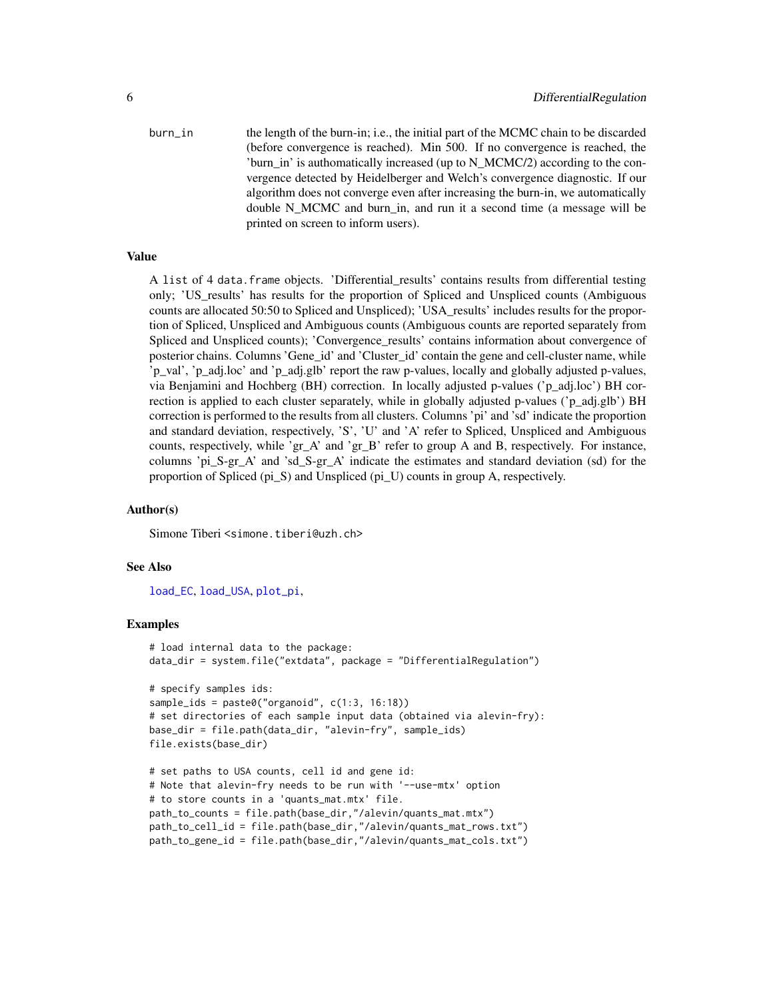<span id="page-5-0"></span>burn\_in the length of the burn-in; i.e., the initial part of the MCMC chain to be discarded (before convergence is reached). Min 500. If no convergence is reached, the 'burn in' is authomatically increased (up to N\_MCMC/2) according to the convergence detected by Heidelberger and Welch's convergence diagnostic. If our algorithm does not converge even after increasing the burn-in, we automatically double N\_MCMC and burn\_in, and run it a second time (a message will be printed on screen to inform users).

# Value

A list of 4 data.frame objects. 'Differential\_results' contains results from differential testing only; 'US\_results' has results for the proportion of Spliced and Unspliced counts (Ambiguous counts are allocated 50:50 to Spliced and Unspliced); 'USA\_results' includes results for the proportion of Spliced, Unspliced and Ambiguous counts (Ambiguous counts are reported separately from Spliced and Unspliced counts); 'Convergence\_results' contains information about convergence of posterior chains. Columns 'Gene id' and 'Cluster id' contain the gene and cell-cluster name, while 'p\_val', 'p\_adj.loc' and 'p\_adj.glb' report the raw p-values, locally and globally adjusted p-values, via Benjamini and Hochberg (BH) correction. In locally adjusted p-values ('p\_adj.loc') BH correction is applied to each cluster separately, while in globally adjusted p-values ('p\_adj.glb') BH correction is performed to the results from all clusters. Columns 'pi' and 'sd' indicate the proportion and standard deviation, respectively, 'S', 'U' and 'A' refer to Spliced, Unspliced and Ambiguous counts, respectively, while 'gr\_A' and 'gr\_B' refer to group A and B, respectively. For instance, columns 'pi\_S-gr\_A' and 'sd\_S-gr\_A' indicate the estimates and standard deviation (sd) for the proportion of Spliced (pi\_S) and Unspliced (pi\_U) counts in group A, respectively.

# Author(s)

Simone Tiberi <simone.tiberi@uzh.ch>

## See Also

[load\\_EC](#page-7-1), [load\\_USA](#page-9-1), [plot\\_pi](#page-10-1),

```
# load internal data to the package:
data_dir = system.file("extdata", package = "DifferentialRegulation")
# specify samples ids:
sample_ids = paste0("organoid", c(1:3, 16:18))
# set directories of each sample input data (obtained via alevin-fry):
base_dir = file.path(data_dir, "alevin-fry", sample_ids)
file.exists(base_dir)
# set paths to USA counts, cell id and gene id:
# Note that alevin-fry needs to be run with '--use-mtx' option
# to store counts in a 'quants_mat.mtx' file.
path_to_counts = file.path(base_dir,"/alevin/quants_mat.mtx")
path_to_cell_id = file.path(base_dir,"/alevin/quants_mat_rows.txt")
```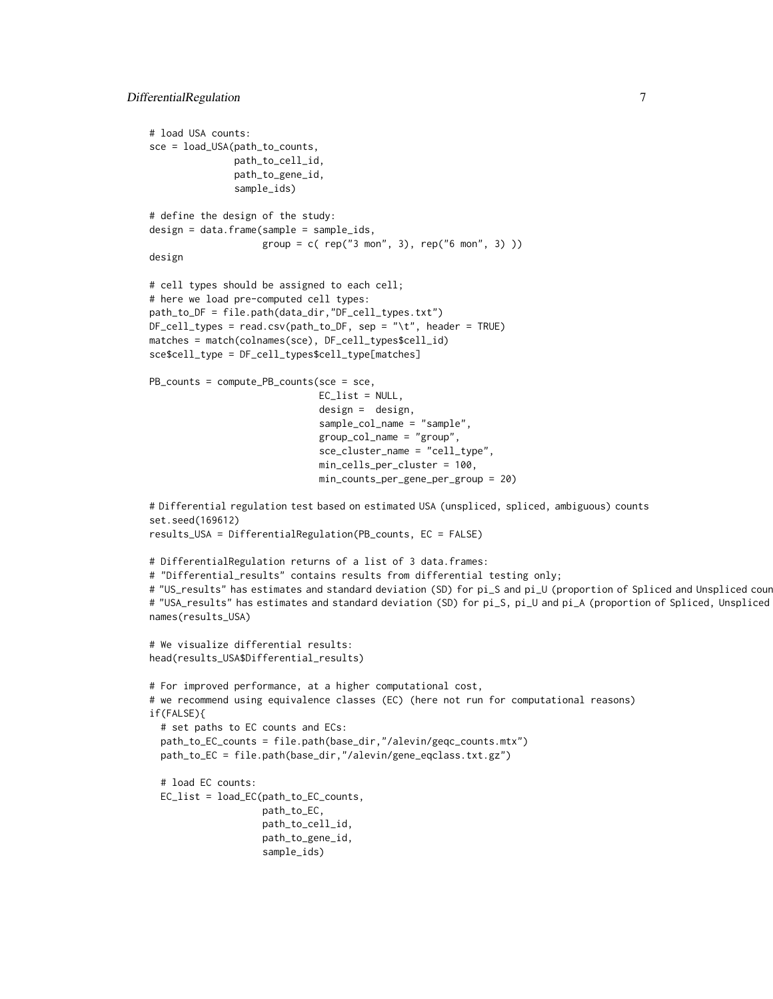```
# load USA counts:
sce = load_USA(path_to_counts,
               path_to_cell_id,
               path_to_gene_id,
               sample_ids)
# define the design of the study:
design = data.frame(sample = sample_ids,
                    group = c( rep("3 mon", 3), rep("6 mon", 3))design
# cell types should be assigned to each cell;
# here we load pre-computed cell types:
path_to_DF = file.path(data_dir,"DF_cell_types.txt")
DF_cell_types = read.csv(path_to_DF, sep = "\t", header = TRUE)
matches = match(colnames(sce), DF_cell_types$cell_id)
sce$cell_type = DF_cell_types$cell_type[matches]
PB_counts = compute_PB_counts(sce = sce,
                              EC_list = NULL,
                              design = design,
                              sample_col_name = "sample",
                              group_col_name = "group",
                              sce_cluster_name = "cell_type",
                              min_cells_per_cluster = 100,
                              min_counts_per_gene_per_group = 20)
# Differential regulation test based on estimated USA (unspliced, spliced, ambiguous) counts
set.seed(169612)
results_USA = DifferentialRegulation(PB_counts, EC = FALSE)
# DifferentialRegulation returns of a list of 3 data.frames:
# "Differential_results" contains results from differential testing only;
# "US_results" has estimates and standard deviation (SD) for pi_S and pi_U (proportion of Spliced and Unspliced cour
# "USA_results" has estimates and standard deviation (SD) for pi_S, pi_U and pi_A (proportion of Spliced, Unspliced
names(results_USA)
# We visualize differential results:
head(results_USA$Differential_results)
# For improved performance, at a higher computational cost,
# we recommend using equivalence classes (EC) (here not run for computational reasons)
if(FALSE){
 # set paths to EC counts and ECs:
 path_to_EC_counts = file.path(base_dir,"/alevin/geqc_counts.mtx")
 path_to_EC = file.path(base_dir,"/alevin/gene_eqclass.txt.gz")
 # load EC counts:
 EC_list = load_EC(path_to_EC_counts,
                    path_to_EC,
                    path_to_cell_id,
                    path_to_gene_id,
                    sample_ids)
```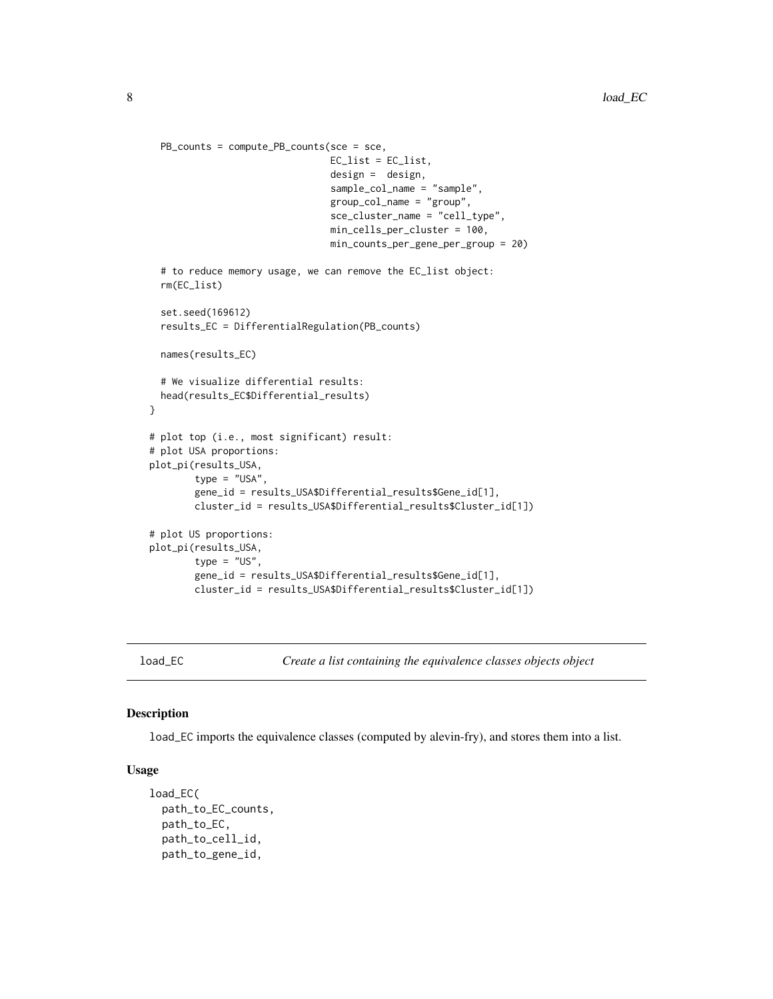```
PB_counts = compute_PB_counts(sce = sce,
                                EC_list = EC_list,
                                design = design,
                                sample_col_name = "sample",
                                group_col_name = "group",
                                sce_cluster_name = "cell_type",
                                min_cells_per_cluster = 100,
                                min_counts_per_gene_per_group = 20)
 # to reduce memory usage, we can remove the EC_list object:
 rm(EC_list)
 set.seed(169612)
 results_EC = DifferentialRegulation(PB_counts)
 names(results_EC)
 # We visualize differential results:
 head(results_EC$Differential_results)
}
# plot top (i.e., most significant) result:
# plot USA proportions:
plot_pi(results_USA,
       type = "USA",
        gene_id = results_USA$Differential_results$Gene_id[1],
       cluster_id = results_USA$Differential_results$Cluster_id[1])
# plot US proportions:
plot_pi(results_USA,
       type = "US",gene_id = results_USA$Differential_results$Gene_id[1],
       cluster_id = results_USA$Differential_results$Cluster_id[1])
```

```
load_EC Create a list containing the equivalence classes objects object
```
# Description

load\_EC imports the equivalence classes (computed by alevin-fry), and stores them into a list.

# Usage

```
load_EC(
  path_to_EC_counts,
  path_to_EC,
  path_to_cell_id,
  path_to_gene_id,
```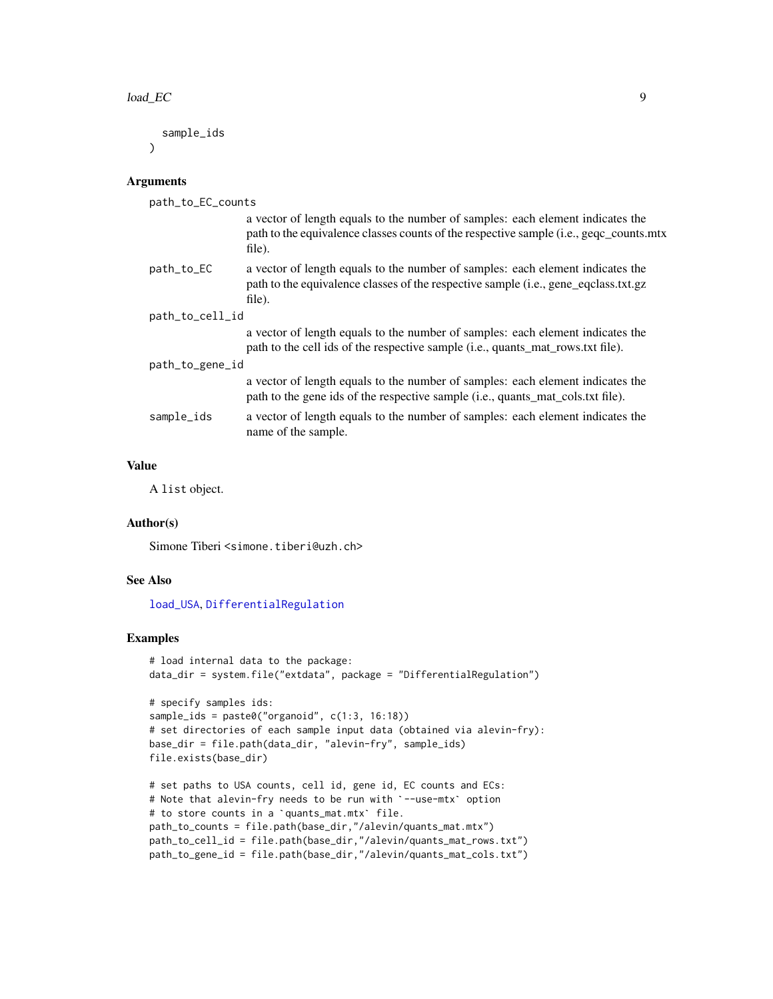<span id="page-8-0"></span>sample\_ids  $\lambda$ 

## Arguments

| path_to_EC_counts |                                                                                                                                                                                    |
|-------------------|------------------------------------------------------------------------------------------------------------------------------------------------------------------------------------|
|                   | a vector of length equals to the number of samples: each element indicates the<br>path to the equivalence classes counts of the respective sample (i.e., geqc_counts.mtx<br>file). |
| path_to_EC        | a vector of length equals to the number of samples: each element indicates the<br>path to the equivalence classes of the respective sample (i.e., gene_eqclass.txt.gz<br>file).    |
| path_to_cell_id   |                                                                                                                                                                                    |
|                   | a vector of length equals to the number of samples: each element indicates the<br>path to the cell ids of the respective sample (i.e., quants_mat_rows.txt file).                  |
| path_to_gene_id   |                                                                                                                                                                                    |
|                   | a vector of length equals to the number of samples: each element indicates the<br>path to the gene ids of the respective sample (i.e., quants_mat_cols.txt file).                  |
| sample_ids        | a vector of length equals to the number of samples: each element indicates the<br>name of the sample.                                                                              |
|                   |                                                                                                                                                                                    |

# Value

A list object.

# Author(s)

Simone Tiberi <simone.tiberi@uzh.ch>

# See Also

[load\\_USA](#page-9-1), [DifferentialRegulation](#page-4-1)

```
# load internal data to the package:
data_dir = system.file("extdata", package = "DifferentialRegulation")
# specify samples ids:
sample_ids = paste0("organoid", c(1:3, 16:18))
# set directories of each sample input data (obtained via alevin-fry):
base_dir = file.path(data_dir, "alevin-fry", sample_ids)
file.exists(base_dir)
# set paths to USA counts, cell id, gene id, EC counts and ECs:
file.exists(base_dir)<br># set paths to USA counts, cell id, gene id, EC counts and ECs<br># Note that alevin-fry needs to be run with `--use-mtx` option
# Note that alevin-fry needs to be run with `--use-mtx` option<br># to store counts in a `quants_mat.mtx` file.
```

```
path_to_counts = file.path(base_dir,"/alevin/quants_mat.mtx")
path_to_cell_id = file.path(base_dir,"/alevin/quants_mat_rows.txt")
path_to_gene_id = file.path(base_dir,"/alevin/quants_mat_cols.txt")
```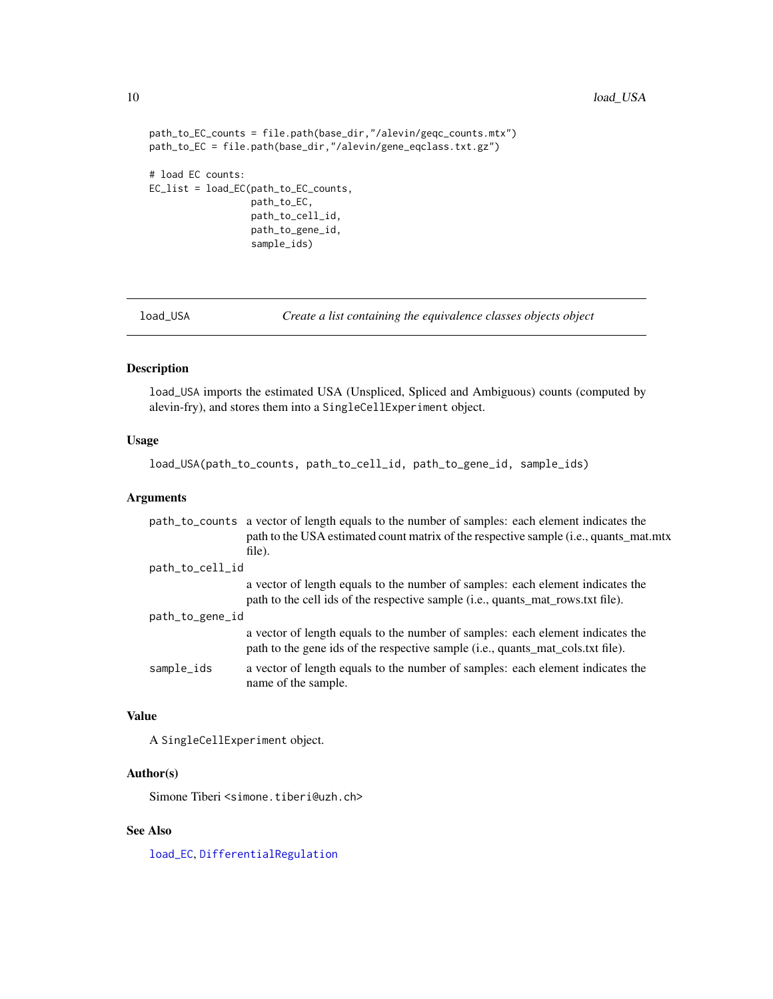```
path_to_EC_counts = file.path(base_dir,"/alevin/geqc_counts.mtx")
path_to_EC = file.path(base_dir,"/alevin/gene_eqclass.txt.gz")
# load EC counts:
EC_list = load_EC(path_to_EC_counts,
                  path_to_EC,
                  path_to_cell_id,
                  path_to_gene_id,
                  sample_ids)
```
<span id="page-9-1"></span>

load\_USA *Create a list containing the equivalence classes objects object*

# Description

load\_USA imports the estimated USA (Unspliced, Spliced and Ambiguous) counts (computed by alevin-fry), and stores them into a SingleCellExperiment object.

# Usage

load\_USA(path\_to\_counts, path\_to\_cell\_id, path\_to\_gene\_id, sample\_ids)

# Arguments

|                 | path_to_counts a vector of length equals to the number of samples: each element indicates the<br>path to the USA estimated count matrix of the respective sample (i.e., quants_mat.mtx |
|-----------------|----------------------------------------------------------------------------------------------------------------------------------------------------------------------------------------|
|                 | file).                                                                                                                                                                                 |
| path_to_cell_id |                                                                                                                                                                                        |
|                 | a vector of length equals to the number of samples: each element indicates the<br>path to the cell ids of the respective sample (i.e., quants_mat_rows.txt file).                      |
| path_to_gene_id |                                                                                                                                                                                        |
|                 | a vector of length equals to the number of samples: each element indicates the<br>path to the gene ids of the respective sample (i.e., quants_mat_cols.txt file).                      |
| sample_ids      | a vector of length equals to the number of samples: each element indicates the<br>name of the sample.                                                                                  |

# Value

A SingleCellExperiment object.

# Author(s)

Simone Tiberi <simone.tiberi@uzh.ch>

# See Also

[load\\_EC](#page-7-1), [DifferentialRegulation](#page-4-1)

<span id="page-9-0"></span>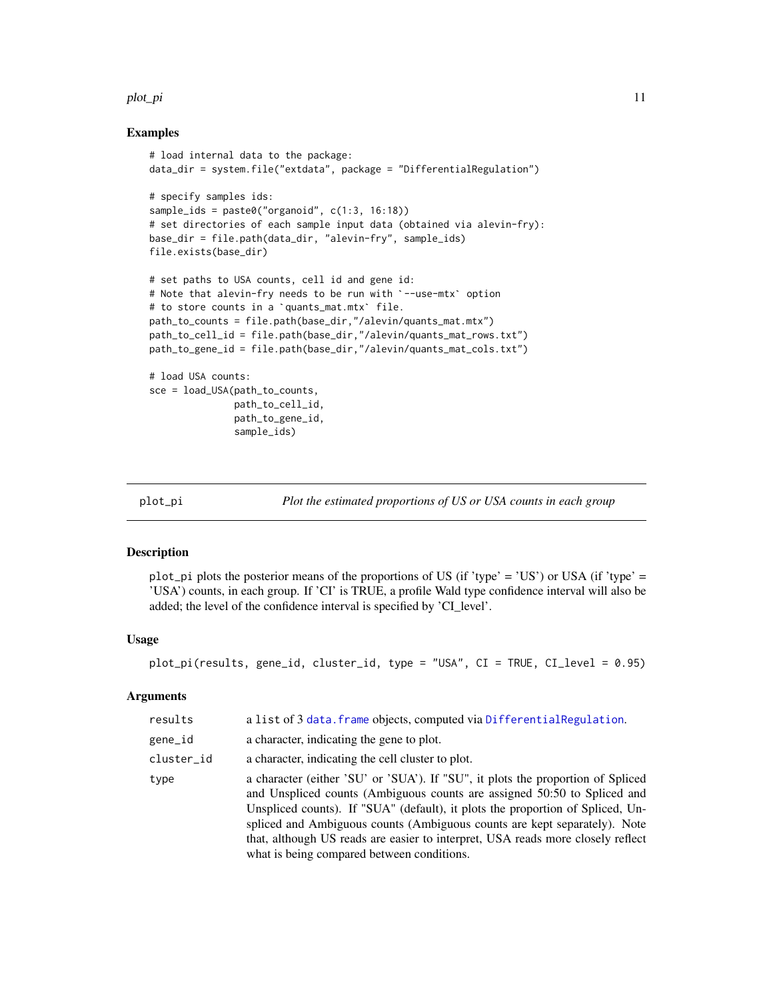#### <span id="page-10-0"></span>plot\_pi that the contract of the contract of the contract of the contract of the contract of the contract of the contract of the contract of the contract of the contract of the contract of the contract of the contract of t

# Examples

```
# load internal data to the package:
data_dir = system.file("extdata", package = "DifferentialRegulation")
# specify samples ids:
sample_ids = paste0("organoid", c(1:3, 16:18))
# set directories of each sample input data (obtained via alevin-fry):
base_dir = file.path(data_dir, "alevin-fry", sample_ids)
file.exists(base_dir)
# set paths to USA counts, cell id and gene id:
# Note that alevin-fry needs to be run with `--use-mtx` option
# set paths to USA counts, cell id and gene i#<br># Note that alevin-fry needs to be run with `<br># to store counts in a `quants_mat.mtx` file.
path_to_counts = file.path(base_dir,"/alevin/quants_mat.mtx")
path_to_cell_id = file.path(base_dir,"/alevin/quants_mat_rows.txt")
path_to_gene_id = file.path(base_dir,"/alevin/quants_mat_cols.txt")
# load USA counts:
sce = load_USA(path_to_counts,
                path_to_cell_id,
                 path_to_gene_id,
                 sample_ids)
```
<span id="page-10-1"></span>

plot\_pi *Plot the estimated proportions of US or USA counts in each group*

# Description

plot\_pi plots the posterior means of the proportions of US (if 'type' = 'US') or USA (if 'type' = 'USA') counts, in each group. If 'CI' is TRUE, a profile Wald type confidence interval will also be added; the level of the confidence interval is specified by 'CI\_level'.

# Usage

plot\_pi(results, gene\_id, cluster\_id, type = "USA", CI = TRUE, CI\_level = 0.95)

# Arguments

| results    | a list of 3 data. frame objects, computed via DifferentialRegulation.                                                                                                                                                                                                                                                                                                                                                                                       |
|------------|-------------------------------------------------------------------------------------------------------------------------------------------------------------------------------------------------------------------------------------------------------------------------------------------------------------------------------------------------------------------------------------------------------------------------------------------------------------|
| gene_id    | a character, indicating the gene to plot.                                                                                                                                                                                                                                                                                                                                                                                                                   |
| cluster_id | a character, indicating the cell cluster to plot.                                                                                                                                                                                                                                                                                                                                                                                                           |
| type       | a character (either 'SU' or 'SUA'). If "SU", it plots the proportion of Spliced<br>and Unspliced counts (Ambiguous counts are assigned 50:50 to Spliced and<br>Unspliced counts). If "SUA" (default), it plots the proportion of Spliced, Un-<br>spliced and Ambiguous counts (Ambiguous counts are kept separately). Note<br>that, although US reads are easier to interpret, USA reads more closely reflect<br>what is being compared between conditions. |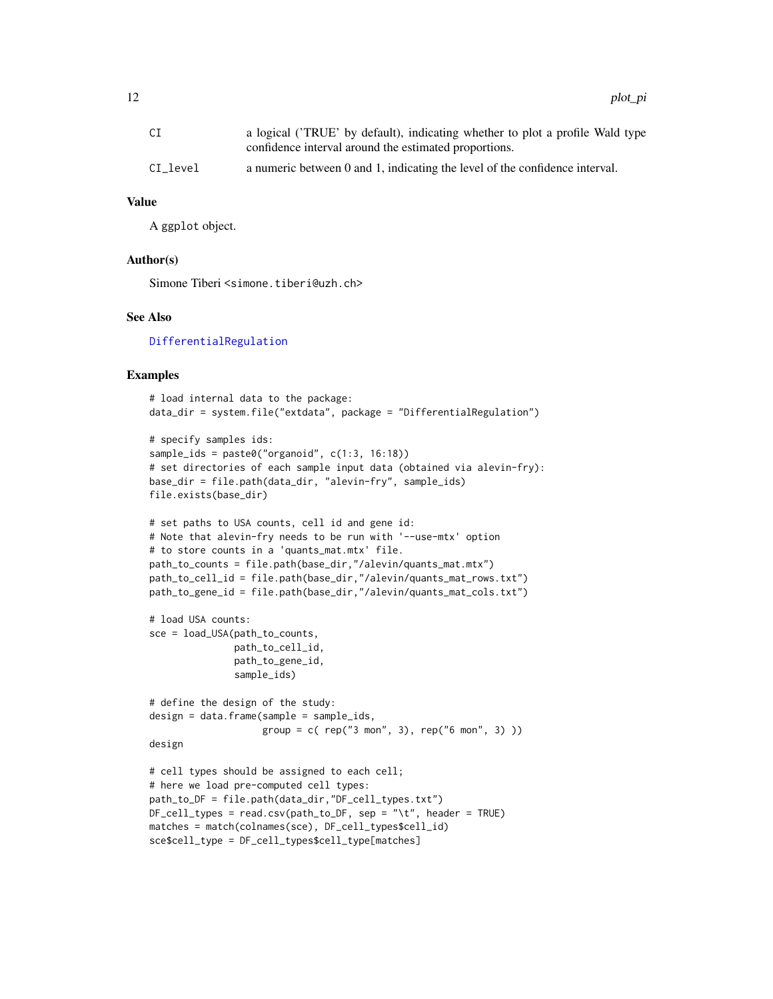<span id="page-11-0"></span>

| СI       | a logical ('TRUE' by default), indicating whether to plot a profile Wald type |
|----------|-------------------------------------------------------------------------------|
|          | confidence interval around the estimated proportions.                         |
| CI level | a numeric between 0 and 1, indicating the level of the confidence interval.   |

# Value

A ggplot object.

# Author(s)

Simone Tiberi <simone.tiberi@uzh.ch>

# See Also

[DifferentialRegulation](#page-4-1)

```
# load internal data to the package:
data_dir = system.file("extdata", package = "DifferentialRegulation")
# specify samples ids:
sample_ids = paste0("organoid", c(1:3, 16:18))
# set directories of each sample input data (obtained via alevin-fry):
base_dir = file.path(data_dir, "alevin-fry", sample_ids)
file.exists(base_dir)
# set paths to USA counts, cell id and gene id:
# Note that alevin-fry needs to be run with '--use-mtx' option
# to store counts in a 'quants_mat.mtx' file.
path_to_counts = file.path(base_dir,"/alevin/quants_mat.mtx")
path_to_cell_id = file.path(base_dir,"/alevin/quants_mat_rows.txt")
path_to_gene_id = file.path(base_dir,"/alevin/quants_mat_cols.txt")
# load USA counts:
sce = load_USA(path_to_counts,
               path_to_cell_id,
               path_to_gene_id,
               sample_ids)
# define the design of the study:
design = data.frame(sample = sample_ids,
                    group = c( rep("3 mon", 3), rep("6 mon", 3) ))
design
# cell types should be assigned to each cell;
# here we load pre-computed cell types:
path_to_DF = file.path(data_dir,"DF_cell_types.txt")
DF_{cell\_types} = read.csv(path_to_DF, sep = "\t", header = TRUE)
matches = match(colnames(sce), DF_cell_types$cell_id)
sce$cell_type = DF_cell_types$cell_type[matches]
```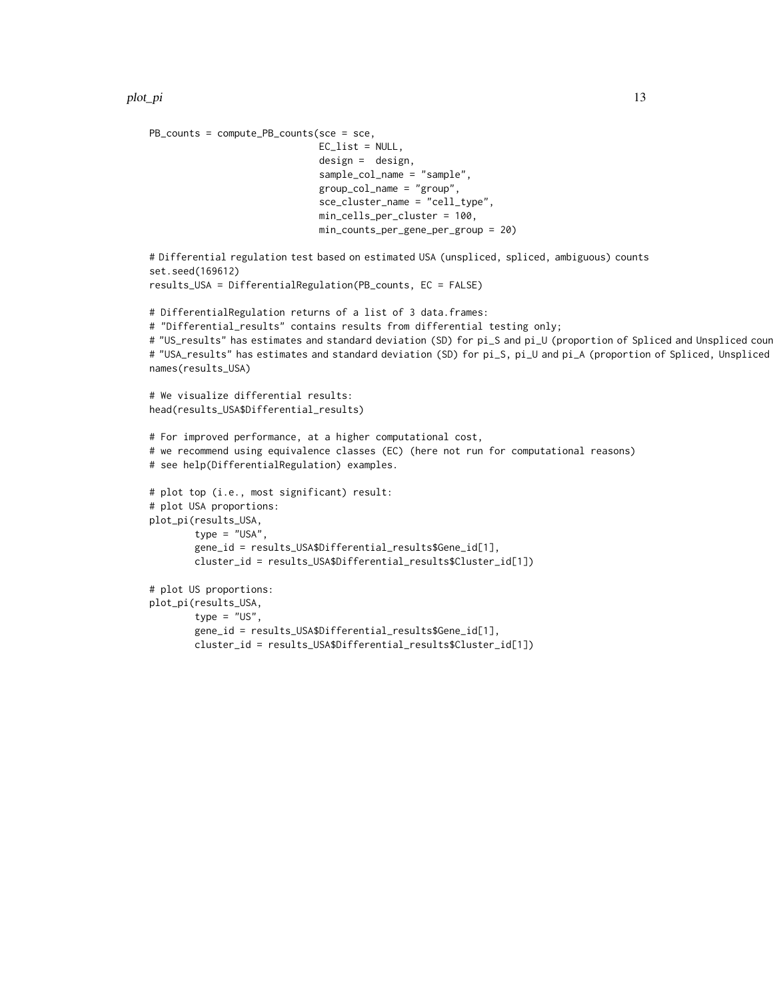```
PB_counts = compute_PB_counts(sce = sce,
                              EC_list = NULL,
                              design = design,
                              sample_col_name = "sample",
                              group_col_name = "group",
                              sce_cluster_name = "cell_type",
                              min_cells_per_cluster = 100,
                              min_counts_per_gene_per_group = 20)
# Differential regulation test based on estimated USA (unspliced, spliced, ambiguous) counts
set.seed(169612)
results_USA = DifferentialRegulation(PB_counts, EC = FALSE)
# DifferentialRegulation returns of a list of 3 data.frames:
# "Differential_results" contains results from differential testing only;
# "US_results" has estimates and standard deviation (SD) for pi_S and pi_U (proportion of Spliced and Unspliced cour
# "USA_results" has estimates and standard deviation (SD) for pi_S, pi_U and pi_A (proportion of Spliced, Unspliced
names(results_USA)
# We visualize differential results:
head(results_USA$Differential_results)
# For improved performance, at a higher computational cost,
# we recommend using equivalence classes (EC) (here not run for computational reasons)
# see help(DifferentialRegulation) examples.
# plot top (i.e., most significant) result:
# plot USA proportions:
plot_pi(results_USA,
        type = "USA",
        gene_id = results_USA$Differential_results$Gene_id[1],
        cluster_id = results_USA$Differential_results$Cluster_id[1])
# plot US proportions:
plot_pi(results_USA,
        type = "US",
        gene_id = results_USA$Differential_results$Gene_id[1],
        cluster_id = results_USA$Differential_results$Cluster_id[1])
```